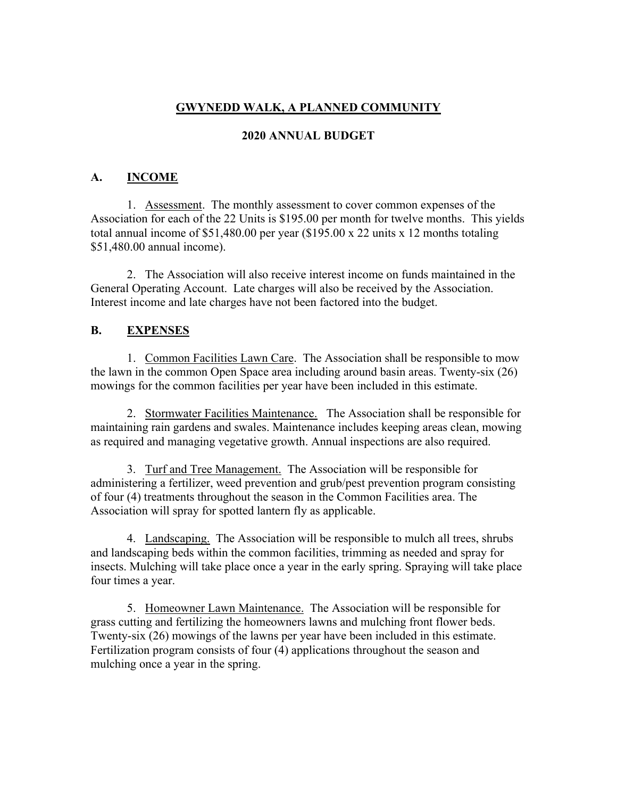## **GWYNEDD WALK, A PLANNED COMMUNITY**

#### **2020 ANNUAL BUDGET**

### **A. INCOME**

1. Assessment. The monthly assessment to cover common expenses of the Association for each of the 22 Units is \$195.00 per month for twelve months. This yields total annual income of \$51,480.00 per year (\$195.00 x 22 units x 12 months totaling \$51,480.00 annual income).

2. The Association will also receive interest income on funds maintained in the General Operating Account. Late charges will also be received by the Association. Interest income and late charges have not been factored into the budget.

#### **B. EXPENSES**

1. Common Facilities Lawn Care. The Association shall be responsible to mow the lawn in the common Open Space area including around basin areas. Twenty-six (26) mowings for the common facilities per year have been included in this estimate.

2. Stormwater Facilities Maintenance. The Association shall be responsible for maintaining rain gardens and swales. Maintenance includes keeping areas clean, mowing as required and managing vegetative growth. Annual inspections are also required.

3. Turf and Tree Management. The Association will be responsible for administering a fertilizer, weed prevention and grub/pest prevention program consisting of four (4) treatments throughout the season in the Common Facilities area. The Association will spray for spotted lantern fly as applicable.

4. Landscaping. The Association will be responsible to mulch all trees, shrubs and landscaping beds within the common facilities, trimming as needed and spray for insects. Mulching will take place once a year in the early spring. Spraying will take place four times a year.

5. Homeowner Lawn Maintenance. The Association will be responsible for grass cutting and fertilizing the homeowners lawns and mulching front flower beds. Twenty-six (26) mowings of the lawns per year have been included in this estimate. Fertilization program consists of four (4) applications throughout the season and mulching once a year in the spring.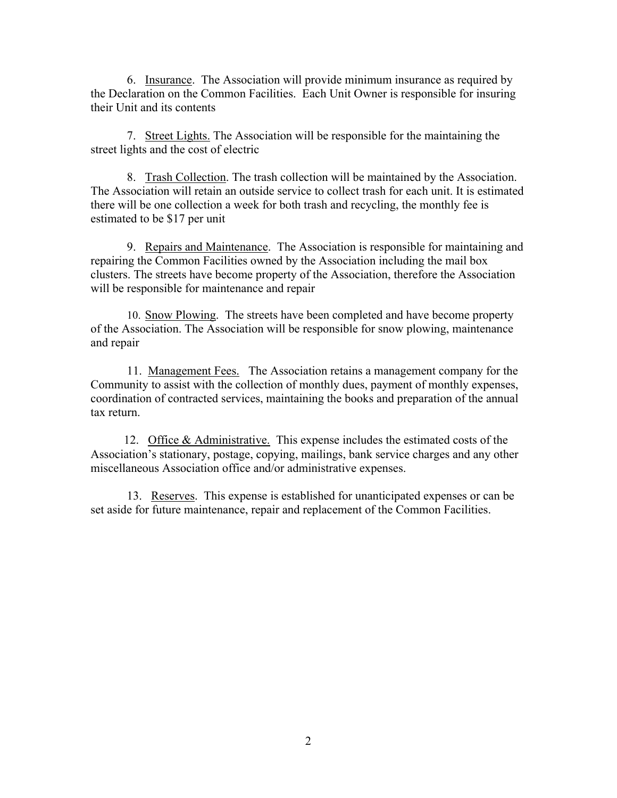6. Insurance. The Association will provide minimum insurance as required by the Declaration on the Common Facilities. Each Unit Owner is responsible for insuring their Unit and its contents

7. Street Lights. The Association will be responsible for the maintaining the street lights and the cost of electric

8. Trash Collection. The trash collection will be maintained by the Association. The Association will retain an outside service to collect trash for each unit. It is estimated there will be one collection a week for both trash and recycling, the monthly fee is estimated to be \$17 per unit

9. Repairs and Maintenance. The Association is responsible for maintaining and repairing the Common Facilities owned by the Association including the mail box clusters. The streets have become property of the Association, therefore the Association will be responsible for maintenance and repair

10. Snow Plowing. The streets have been completed and have become property of the Association. The Association will be responsible for snow plowing, maintenance and repair

11. Management Fees. The Association retains a management company for the Community to assist with the collection of monthly dues, payment of monthly expenses, coordination of contracted services, maintaining the books and preparation of the annual tax return.

 12. Office & Administrative. This expense includes the estimated costs of the Association's stationary, postage, copying, mailings, bank service charges and any other miscellaneous Association office and/or administrative expenses.

13. Reserves. This expense is established for unanticipated expenses or can be set aside for future maintenance, repair and replacement of the Common Facilities.